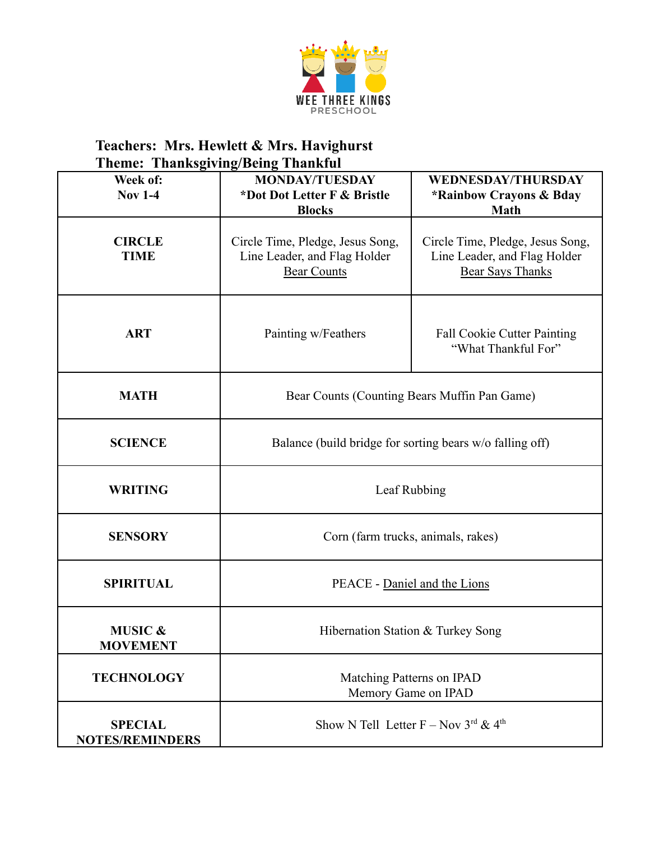

| Week of:<br><b>Nov 1-4</b>               | <b>MONDAY/TUESDAY</b><br>*Dot Dot Letter F & Bristle<br><b>Blocks</b>                  | <b>WEDNESDAY/THURSDAY</b><br>*Rainbow Crayons & Bday<br><b>Math</b>                         |
|------------------------------------------|----------------------------------------------------------------------------------------|---------------------------------------------------------------------------------------------|
| <b>CIRCLE</b><br><b>TIME</b>             | Circle Time, Pledge, Jesus Song,<br>Line Leader, and Flag Holder<br><b>Bear Counts</b> | Circle Time, Pledge, Jesus Song,<br>Line Leader, and Flag Holder<br><b>Bear Says Thanks</b> |
| <b>ART</b>                               | Painting w/Feathers                                                                    | <b>Fall Cookie Cutter Painting</b><br>"What Thankful For"                                   |
| <b>MATH</b>                              | Bear Counts (Counting Bears Muffin Pan Game)                                           |                                                                                             |
| <b>SCIENCE</b>                           | Balance (build bridge for sorting bears w/o falling off)                               |                                                                                             |
| <b>WRITING</b>                           | Leaf Rubbing                                                                           |                                                                                             |
| <b>SENSORY</b>                           | Corn (farm trucks, animals, rakes)                                                     |                                                                                             |
| <b>SPIRITUAL</b>                         | PEACE - Daniel and the Lions                                                           |                                                                                             |
| <b>MUSIC &amp;</b><br><b>MOVEMENT</b>    | Hibernation Station & Turkey Song                                                      |                                                                                             |
| <b>TECHNOLOGY</b>                        | Matching Patterns on IPAD<br>Memory Game on IPAD                                       |                                                                                             |
| <b>SPECIAL</b><br><b>NOTES/REMINDERS</b> | Show N Tell Letter F – Nov $3^{rd}$ & 4 <sup>th</sup>                                  |                                                                                             |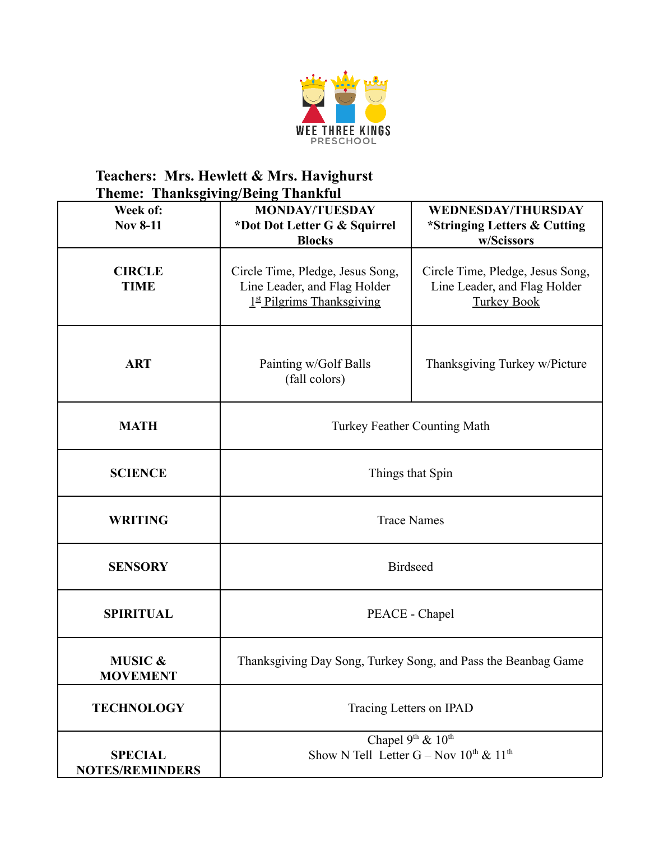

| 1 пенге<br>Week of:<br><b>Nov 8-11</b>   | <b>THANNS TOUR THANNUM</b><br><b>MONDAY/TUESDAY</b><br>*Dot Dot Letter G & Squirrel<br><b>Blocks</b> | <b>WEDNESDAY/THURSDAY</b><br>*Stringing Letters & Cutting<br>w/Scissors                |
|------------------------------------------|------------------------------------------------------------------------------------------------------|----------------------------------------------------------------------------------------|
| <b>CIRCLE</b><br><b>TIME</b>             | Circle Time, Pledge, Jesus Song,<br>Line Leader, and Flag Holder<br>$1st$ Pilgrims Thanksgiving      | Circle Time, Pledge, Jesus Song,<br>Line Leader, and Flag Holder<br><b>Turkey Book</b> |
| <b>ART</b>                               | Painting w/Golf Balls<br>(fall colors)                                                               | Thanksgiving Turkey w/Picture                                                          |
| <b>MATH</b>                              | <b>Turkey Feather Counting Math</b>                                                                  |                                                                                        |
| <b>SCIENCE</b>                           | Things that Spin                                                                                     |                                                                                        |
| <b>WRITING</b>                           | <b>Trace Names</b>                                                                                   |                                                                                        |
| <b>SENSORY</b>                           | <b>Birdseed</b>                                                                                      |                                                                                        |
| <b>SPIRITUAL</b>                         | PEACE - Chapel                                                                                       |                                                                                        |
| <b>MUSIC &amp;</b><br><b>MOVEMENT</b>    | Thanksgiving Day Song, Turkey Song, and Pass the Beanbag Game                                        |                                                                                        |
| <b>TECHNOLOGY</b>                        | Tracing Letters on IPAD                                                                              |                                                                                        |
| <b>SPECIAL</b><br><b>NOTES/REMINDERS</b> | Chapel 9th & 10th<br>Show N Tell Letter G – Nov $10^{th}$ & $11^{th}$                                |                                                                                        |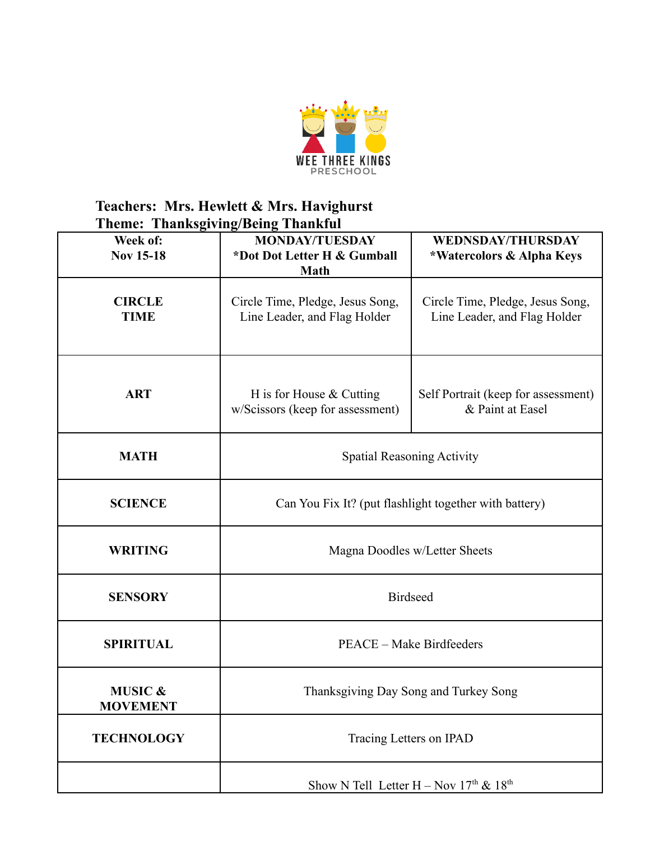

| Week of:<br><b>Nov 15-18</b>          | <b>MONDAY/TUESDAY</b><br>*Dot Dot Letter H & Gumball<br><b>Math</b> | <b>WEDNSDAY/THURSDAY</b><br>*Watercolors & Alpha Keys            |
|---------------------------------------|---------------------------------------------------------------------|------------------------------------------------------------------|
| <b>CIRCLE</b><br><b>TIME</b>          | Circle Time, Pledge, Jesus Song,<br>Line Leader, and Flag Holder    | Circle Time, Pledge, Jesus Song,<br>Line Leader, and Flag Holder |
| <b>ART</b>                            | H is for House $&$ Cutting<br>w/Scissors (keep for assessment)      | Self Portrait (keep for assessment)<br>& Paint at Easel          |
| <b>MATH</b>                           | <b>Spatial Reasoning Activity</b>                                   |                                                                  |
| <b>SCIENCE</b>                        | Can You Fix It? (put flashlight together with battery)              |                                                                  |
| <b>WRITING</b>                        | Magna Doodles w/Letter Sheets                                       |                                                                  |
| <b>SENSORY</b>                        | <b>Birdseed</b>                                                     |                                                                  |
| <b>SPIRITUAL</b>                      | PEACE – Make Birdfeeders                                            |                                                                  |
| <b>MUSIC &amp;</b><br><b>MOVEMENT</b> | Thanksgiving Day Song and Turkey Song                               |                                                                  |
| <b>TECHNOLOGY</b>                     | Tracing Letters on IPAD                                             |                                                                  |
|                                       | Show N Tell Letter H – Nov $17th$ & $18th$                          |                                                                  |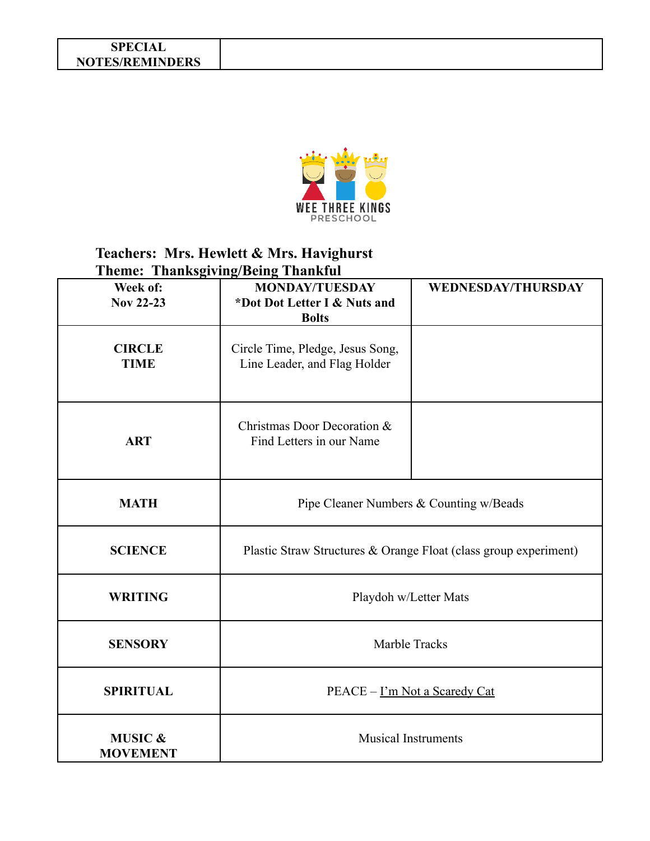#### **SPECIAL NOTES/REMINDERS**



| Week of:<br><b>Nov 22-23</b>          | писто писторондженд писти<br><b>MONDAY/TUESDAY</b><br>*Dot Dot Letter I & Nuts and<br><b>Bolts</b> | <b>WEDNESDAY/THURSDAY</b> |
|---------------------------------------|----------------------------------------------------------------------------------------------------|---------------------------|
| <b>CIRCLE</b><br><b>TIME</b>          | Circle Time, Pledge, Jesus Song,<br>Line Leader, and Flag Holder                                   |                           |
| <b>ART</b>                            | Christmas Door Decoration &<br>Find Letters in our Name                                            |                           |
| <b>MATH</b>                           | Pipe Cleaner Numbers & Counting w/Beads                                                            |                           |
| <b>SCIENCE</b>                        | Plastic Straw Structures & Orange Float (class group experiment)                                   |                           |
| <b>WRITING</b>                        | Playdoh w/Letter Mats                                                                              |                           |
| <b>SENSORY</b>                        | Marble Tracks                                                                                      |                           |
| <b>SPIRITUAL</b>                      | PEACE – I'm Not a Scaredy Cat                                                                      |                           |
| <b>MUSIC &amp;</b><br><b>MOVEMENT</b> | <b>Musical Instruments</b>                                                                         |                           |